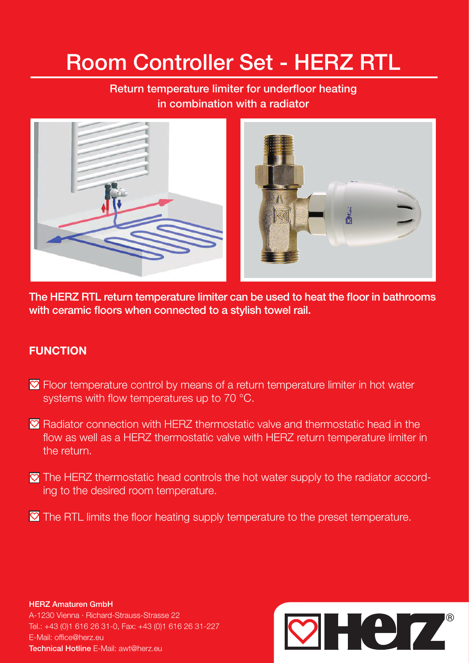# Room Controller Set - HERZ RTL

## Return temperature limiter for underfloor heating in combination with a radiator



The HERZ RTL return temperature limiter can be used to heat the floor in bathrooms with ceramic floors when connected to a stylish towel rail.

### **FUNCTION**

- Floor temperature control by means of a return temperature limiter in hot water systems with flow temperatures up to 70 °C.
- $\heartsuit$  Radiator connection with HERZ thermostatic valve and thermostatic head in the flow as well as a HERZ thermostatic valve with HERZ return temperature limiter in the return.
- **The HERZ thermostatic head controls the hot water supply to the radiator accord**ing to the desired room temperature.
- $\blacksquare$  The RTL limits the floor heating supply temperature to the preset temperature.

HERZ Amaturen GmbH

A-1230 Vienna · Richard-Strauss-Strasse 22 Tel.: +43 (0)1 616 26 31-0, Fax: +43 (0)1 616 26 31-227 E-Mail: office@herz.eu Technical Hotline E-Mail: awt@herz.eu